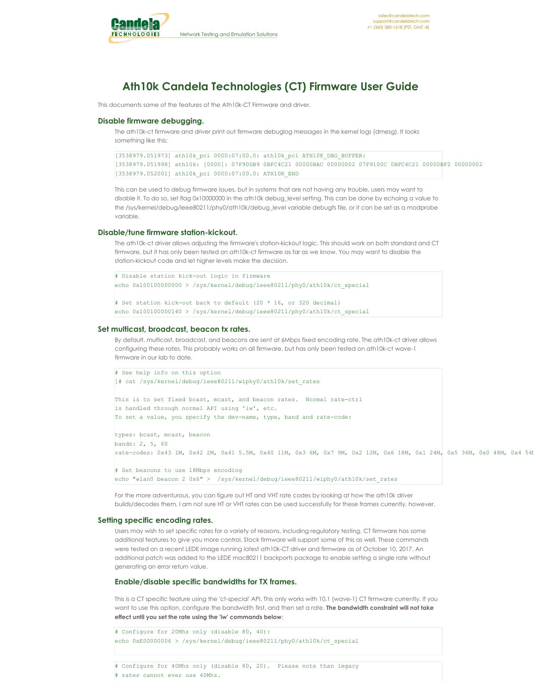

# **Ath10k Candela Technologies (CT) Firmware User Guide**

This documents some of the features of the Ath10k-CT Firmware and driver.

## **Disable firmware debugging.**

The ath10k-ct firmware and driver print out firmware debuglog messages in the kernel logs (dmesg). It looks something like this:

```
[3538979.051973] ath10k_pci 0000:07:00.0: ath10k_pci ATH10K_DBG_BUFFER:
[3538979.051998] ath10k: [0000]: 07F90DB9 0BFC4C21 00000BAC 00000002 07F9100C 0BFC4C21 00000BF2 00000002
[3538979.052001] ath10k_pci 0000:07:00.0: ATH10K_END
```
This can be used to debug firmware issues, but in systems that are not having any trouble, users may want to disable it. To do so, set flag 0x10000000 in the ath10k debug\_level setting. This can be done by echoing a value to the /sys/kernel/debug/ieee80211/phy0/ath10k/debug\_level variable debugfs file, or it can be set as a modprobe variable.

## **Disable/tune firmware station-kickout.**

The ath10k-ct driver allows adjusting the firmware's station-kickout logic. This should work on both standard and CT firmware, but it has only been tested on ath10k-ct firmware as far as we know. You may want to disable the station-kickout code and let higher levels make the decision.

```
# Disable station kick-out logic in firmware
echo 0x100100000000 > /sys/kernel/debug/ieee80211/phy0/ath10k/ct special
# Set station kick-out back to default (20 * 16, or 320 decimal)
echo 0x100100000140 > /sys/kernel/debug/ieee80211/phy0/ath10k/ct_special
```
#### **Set multicast, broadcast, beacon tx rates.**

By default, multicast, broadcast, and beacons are sent at 6Mbps fixed encoding rate. The ath10k-ct driver allows configuring these rates. This probably works on all firmware, but has only been tested on ath10k-ct wave-1 firmware in our lab to date.

```
# See help info on this option
]# cat /sys/kernel/debug/ieee80211/wiphy0/ath10k/set_rates
This is to set fixed bcast, mcast, and beacon rates. Normal rate-ctrl
is handled through normal API using 'iw', etc.
To set a value, you specify the dev-name, type, band and rate-code:
types: bcast, mcast, beacon
bands: 2, 5, 60
rate-codes: 0x43 1M, 0x42 2M, 0x41 5.5M, 0x40 11M, 0x3 6M, 0x7 9M, 0x2 12M, 0x6 18M, 0x1 24M, 0x5 36M, 0x0 48M, 0x4 54M, 0xFF default
# Set beacons to use 18Mbps encoding
echo "wlan0 beacon 2 0x6" > /sys/kernel/debug/ieee80211/wiphy0/ath10k/set rates
```
For the more adventurous, you can figure out HT and VHT rate codes by looking at how the ath10k driver builds/decodes them. I am not sure HT or VHT rates can be used successfully for these frames currently, however.

#### **Setting specific encoding rates.**

Users may wish to set specific rates for a variety of reasons, including regulatory testing. CT firmware has some additional features to give you more control. Stock firmware will support some of this as well. These commands were tested on a recent LEDE image running latest ath10k-CT driver and firmware as of October 10, 2017. An additional patch was added to the LEDE mac80211 backports package to enable setting a single rate without generating an error return value.

#### **Enable/disable specific bandwidths for TX frames.**

This is a CT specific feature using the 'ct-special' API. This only works with 10.1 (wave-1) CT firmware currently. If you want to use this option, configure the bandwidth first, and then set a rate. **The bandwidth constraint will not take effect until you set the rate using the 'iw' commands below**:

```
# Configure for 20Mhz only (disable 80, 40):
echo 0xE00000006 > /sys/kernel/debug/ieee80211/phy0/ath10k/ct_special
# Configure for 40Mhz only (disable 80, 20). Please note than legacy
# rates cannot ever use 40Mhz.
```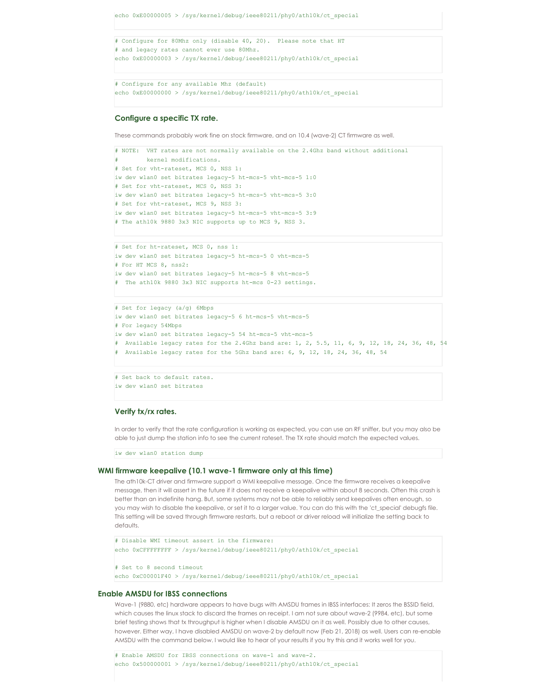```
echo 0xE00000005 > /sys/kernel/debug/ieee80211/phy0/ath10k/ct_special
# Configure for 80Mhz only (disable 40, 20). Please note that HT
# and legacy rates cannot ever use 80Mhz.
echo 0xE00000003 > /sys/kernel/debug/ieee80211/phy0/ath10k/ct_special
# Configure for any available Mhz (default)
echo 0xE00000000 > /sys/kernel/debug/ieee80211/phy0/ath10k/ct_special
```
## **Configure a specific TX rate.**

These commands probably work fine on stock firmware, and on 10.4 (wave-2) CT firmware as well.

```
# NOTE: VHT rates are not normally available on the 2.4Ghz band without additional
        kernel modifications.
# Set for vht-rateset, MCS 0, NSS 1:
iw dev wlan0 set bitrates legacy-5 ht-mcs-5 vht-mcs-5 1:0
# Set for vht-rateset, MCS 0, NSS 3:
iw dev wlan0 set bitrates legacy-5 ht-mcs-5 vht-mcs-5 3:0
# Set for vht-rateset, MCS 9, NSS 3:
iw dev wlan0 set bitrates legacy-5 ht-mcs-5 vht-mcs-5 3:9
# The ath10k 9880 3x3 NIC supports up to MCS 9, NSS 3.
```

```
# Set for ht-rateset, MCS 0, nss 1:
iw dev wlan0 set bitrates legacy-5 ht-mcs-5 0 vht-mcs-5
# For HT MCS 8, nss2:
iw dev wlan0 set bitrates legacy-5 ht-mcs-5 8 vht-mcs-5
# The ath10k 9880 3x3 NIC supports ht-mcs 0-23 settings.
```

```
# Set for legacy (a/g) 6Mbps
iw dev wlan0 set bitrates legacy-5 6 ht-mcs-5 vht-mcs-5
# For legacy 54Mbps
iw dev wlan0 set bitrates legacy-5 54 ht-mcs-5 vht-mcs-5
# Available legacy rates for the 2.4Ghz band are: 1, 2, 5.5, 11, 6, 9, 12, 18, 24, 36, 48, 54
# Available legacy rates for the 5Ghz band are: 6, 9, 12, 18, 24, 36, 48, 54
```
# Set back to default rates. iw dev wlan0 set bitrates

## **Verify tx/rx rates.**

In order to verify that the rate configuration is working as expected, you can use an RF sniffer, but you may also be able to just dump the station info to see the current rateset. The TX rate should match the expected values.

iw dev wlan0 station dump

## **WMI firmware keepalive (10.1 wave-1 firmware only at this time)**

The ath10k-CT driver and firmware support a WMI keepalive message. Once the firmware receives a keepalive message, then it will assert in the future if it does not receive a keepalive within about 8 seconds. Often this crash is better than an indefinite hang. But, some systems may not be able to reliably send keepalives often enough, so you may wish to disable the keepalive, or set it to a larger value. You can do this with the 'ct\_special' debugfs file. This setting will be saved through firmware restarts, but a reboot or driver reload will initialize the setting back to defaults.

```
# Disable WMI timeout assert in the firmware:
echo 0xCFFFFFFFF > /sys/kernel/debug/ieee80211/phy0/ath10k/ct_special
# Set to 8 second timeout
echo 0xC00001F40 > /sys/kernel/debug/ieee80211/phy0/ath10k/ct_special
```
#### **Enable AMSDU for IBSS connections**

Wave-1 (9880, etc) hardware appears to have bugs with AMSDU frames in IBSS interfaces: It zeros the BSSID field, which causes the linux stack to discard the frames on receipt. I am not sure about wave-2 (9984, etc), but some brief testing shows that tx throughput is higher when I disable AMSDU on it as well. Possibly due to other causes, however. Either way, I have disabled AMSDU on wave-2 by default now (Feb 21, 2018) as well. Users can re-enable AMSDU with the command below. I would like to hear of your results if you try this and it works well for you.

# Enable AMSDU for IBSS connections on wave-1 and wave-2. echo 0x500000001 > /sys/kernel/debug/ieee80211/phy0/ath10k/ct\_special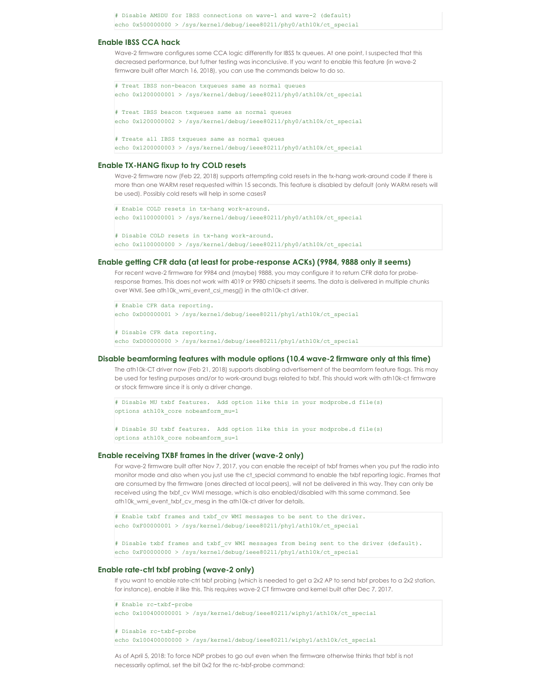# Disable AMSDU for IBSS connections on wave-1 and wave-2 (default) echo 0x500000000 > /sys/kernel/debug/ieee80211/phy0/ath10k/ct\_special

## **Enable IBSS CCA hack**

Wave-2 firmware configures some CCA logic differently for IBSS tx queues. At one point, I suspected that this decreased performance, but futher testing was inconclusive. If you want to enable this feature (in wave-2 firmware built after March 16, 2018), you can use the commands below to do so.

```
# Treat IBSS non-beacon txqueues same as normal queues
echo 0x1200000001 > /sys/kernel/debug/ieee80211/phy0/ath10k/ct_special
# Treat IBSS beacon txqueues same as normal queues
echo 0x1200000002 > /sys/kernel/debug/ieee80211/phy0/ath10k/ct_special
# Treate all IBSS txqueues same as normal queues
echo 0x1200000003 > /sys/kernel/debug/ieee80211/phy0/ath10k/ct_special
```
#### **Enable TX-HANG fixup to try COLD resets**

Wave-2 firmware now (Feb 22, 2018) supports attempting cold resets in the tx-hang work-around code if there is more than one WARM reset requested within 15 seconds. This feature is disabled by default (only WARM resets will be used). Possibly cold resets will help in some cases?

```
# Enable COLD resets in tx-hang work-around.
echo 0x1100000001 > /sys/kernel/debug/ieee80211/phy0/ath10k/ct special
# Disable COLD resets in tx-hang work-around.
echo 0x1100000000 > /sys/kernel/debug/ieee80211/phy0/ath10k/ct_special
```
#### **Enable getting CFR data (at least for probe-response ACKs) (9984, 9888 only it seems)**

For recent wave-2 firmware for 9984 and (maybe) 9888, you may configure it to return CFR data for proberesponse frames. This does not work with 4019 or 9980 chipsets it seems. The data is delivered in multiple chunks over WMI. See ath10k\_wmi\_event\_csi\_mesg() in the ath10k-ct driver.

```
# Enable CFR data reporting.
echo 0xD00000001 > /sys/kernel/debug/ieee80211/phy1/ath10k/ct_special
# Disable CFR data reporting.
echo 0xD00000000 > /sys/kernel/debug/ieee80211/phy1/ath10k/ct_special
```
#### **Disable beamforming features with module options (10.4 wave-2 firmware only at this time)**

The ath10k-CT driver now (Feb 21, 2018) supports disabling advertisement of the beamform feature flags. This may be used for testing purposes and/or to work-around bugs related to txbf. This should work with ath10k-ct firmware or stock firmware since it is only a driver change.

```
# Disable MU txbf features. Add option like this in your modprobe.d file(s)
options ath10k_core nobeamform_mu=1
```
# Disable SU txbf features. Add option like this in your modprobe.d file(s) options ath10k\_core nobeamform\_su=1

#### **Enable receiving TXBF frames in the driver (wave-2 only)**

For wave-2 firmware built after Nov 7, 2017, you can enable the receipt of txbf frames when you put the radio into monitor mode and also when you just use the ct\_special command to enable the txbf reporting logic. Frames that are consumed by the firmware (ones directed at local peers), will not be delivered in this way. They can only be received using the txbf\_cv WMI message, which is also enabled/disabled with this same command. See ath10k\_wmi\_event\_txbf\_cv\_mesg in the ath10k-ct driver for details.

```
# Enable txbf frames and txbf_cv WMI messages to be sent to the driver.
echo 0xF00000001 > /sys/kernel/debug/ieee80211/phy1/ath10k/ct_special
```

```
# Disable txbf frames and txbf_cv WMI messages from being sent to the driver (default).
echo 0xF00000000 > /sys/kernel/debug/ieee80211/phy1/ath10k/ct_special
```
#### **Enable rate-ctrl txbf probing (wave-2 only)**

If you want to enable rate-ctrl txbf probing (which is needed to get a 2x2 AP to send txbf probes to a 2x2 station, for instance), enable it like this. This requires wave-2 CT firmware and kernel built after Dec 7, 2017.

# Enable rc-txbf-probe echo 0x100400000001 > /sys/kernel/debug/ieee80211/wiphy1/ath10k/ct\_special # Disable rc-txbf-probe

echo 0x100400000000 > /sys/kernel/debug/ieee80211/wiphy1/ath10k/ct\_special

As of April 5, 2018: To force NDP probes to go out even when the firmware otherwise thinks that txbf is not necessarily optimal, set the bit 0x2 for the rc-txbf-probe command: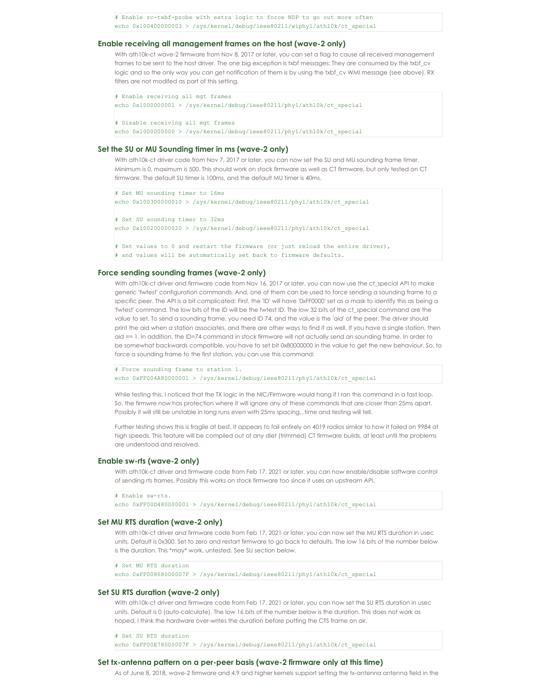# Enable rc-txbf-probe with extra logic to force NDP to go out more often echo 0x100400000003 > /sys/kernel/debug/ieee80211/wiphy1/ath10k/ct\_special

#### **Enable receiving all management frames on the host (wave-2 only)**

With ath10k-ct wave-2 firmware from Nov 8, 2017 or later, you can set a flag to cause all received management frames to be sent to the host driver. The one big exception is txbf messages: They are consumed by the txbf\_cv logic and so the only way you can get notification of them is by using the txbf\_cv WMI message (see above). RX filters are not modifed as part of this setting.

```
# Enable receiving all mgt frames
echo 0x1000000001 > /sys/kernel/debug/ieee80211/phy1/ath10k/ct_special
# Disable receiving all mgt frames
```
## echo 0x1000000000 > /sys/kernel/debug/ieee80211/phy1/ath10k/ct\_special

## **Set the SU or MU Sounding timer in ms (wave-2 only)**

With ath10k-ct driver code from Nov 7, 2017 or later, you can now set the SU and MU sounding frame timer. Minimum is 0, maximum is 500. This should work on stock firmware as well as CT firmware, but only tested on CT firmware. The default SU timer is 100ms, and the default MU timer is 40ms.

```
# Set MU sounding timer to 16ms
echo 0x100300000010 > /sys/kernel/debug/ieee80211/phy1/ath10k/ct special
# Set SU sounding timer to 32ms
echo 0x100200000020 > /sys/kernel/debug/ieee80211/phy1/ath10k/ct_special
# Set values to 0 and restart the firmware (or just reload the entire driver),
# and values will be automatically set back to firmware defaults.
```
#### **Force sending sounding frames (wave-2 only)**

With ath10k-ct driver and firmware code from Nov 16, 2017 or later, you can now use the ct\_special API to make generic 'fwtest' configuration commands. And, one of them can be used to force sending a sounding frame to a specific peer. The API is a bit complicated: First, the 'ID' will have '0xFF0000' set as a mask to identify this as being a 'fwtest' command. The low bits of the ID will be the fwtest ID. The low 32 bits of the ct\_special command are the value to set. To send a sounding frame, you need ID 74, and the value is the 'aid' of the peer. The driver should print the aid when a station associates, and there are other ways to find it as well. If you have a single station, then aid == 1. In addition, the ID=74 command in stock firmware will not actually send an sounding frame. In order to be somewhat backwards compatible, you have to set bit 0x80000000 in the value to get the new behaviour. So, to force a sounding frame to the first station, you can use this command:

```
# Force sounding frame to station 1.
echo 0xFF004A80000001 > /sys/kernel/debug/ieee80211/phy1/ath10k/ct_special
```
While testing this, I noticed that the TX logic in the NIC/Firmware would hang if I ran this command in a fast loop. So, the firmwre now has protection where it will ignore any of these commands that are closer than 25ms apart. Possibly it will still be unstable in long runs even with 25ms spacing...time and testing will tell.

Further testing shows this is fragile at best. It appears to fail entirely on 4019 radios similar to how it failed on 9984 at high speeds. This feature will be compiled out of any diet (trimmed) CT firmware builds, at least until the problems are understood and resolved.

#### **Enable sw-rts (wave-2 only)**

With ath10k-ct driver and firmware code from Feb 17, 2021 or later, you can now enable/disable software control of sending rts frames. Possibly this works on stock firmware too since it uses an upstream API.

# Enable sw-rts. echo 0xFF00D480000001 > /sys/kernel/debug/ieee80211/phy1/ath10k/ct\_special

#### **Set MU RTS duration (wave-2 only)**

With ath10k-ct driver and firmware code from Feb 17, 2021 or later, you can now set the MU RTS duration in usec units. Default is 0x300. Set to zero and restart firmware to go back to defaults. The low 16 bits of the number below is the duration. This \*may\* work, untested. See SU section below.

# Set MU RTS duration echo 0xFF00868000007F > /sys/kernel/debug/ieee80211/phy1/ath10k/ct\_special

## **Set SU RTS duration (wave-2 only)**

With ath10k-ct driver and firmware code from Feb 17, 2021 or later, you can now set the SU RTS duration in usec units. Default is 0 (auto-calculate). The low 16 bits of the number below is the duration. This does not work as hoped, I think the hardware over-writes the duration before putting the CTS frame on air.

# Set SU RTS duration echo 0xFF00E78000007F > /sys/kernel/debug/ieee80211/phy1/ath10k/ct\_special

#### **Set tx-antenna pattern on a per-peer basis (wave-2 firmware only at this time)**

As of June 8, 2018, wave-2 firmware and 4.9 and higher kernels support setting the tx-antenna antenna field in the